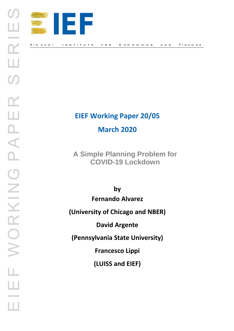

# **EIEF Working Paper 20/05 March 2020**

**A Simple Planning Problem for COVID-19 Lockdown**

**by Fernando Alvarez (University of Chicago and NBER) David Argente (Pennsylvania State University)**

**Francesco Lippi**

**(LUISS and EIEF)**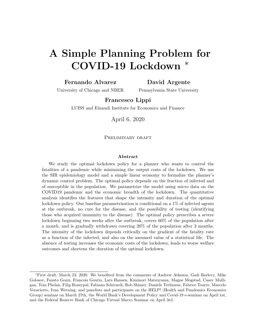# A Simple Planning Problem for COVID-19 Lockdown

#### Fernando Alvarez

#### David Argente

University of Chicago and NBER

Pennsylvania State University

#### Francesco Lippi

LUISS and Einaudi Institute for Economics and Finance

April 6, 2020

#### PRELIMINARY DRAFT

#### Abstract

We study the optimal lockdown policy for a planner who wants to control the fatalities of a pandemic while minimizing the output costs of the lockdown. We use the SIR epidemiology model and a simple linear economy to formalize the planner's dynamic control problem. The optimal policy depends on the fraction of infected and of susceptible in the population. We parametrize the model using micro data on the COVID19 pandemic and the economic breadth of the lockdown. The quantitative analysis identifies the features that shape the intensity and duration of the optimal lockdown policy. Our baseline parametrization is conditional on a  $1\%$  of infected agents at the outbreak, no cure for the disease, and the possibility of testing (identifying those who acquired immunity to the disease). The optimal policy prescribes a severe lockdown beginning two weeks after the outbreak, covers 60% of the population after a month, and is gradually withdrawn covering 20% of the population after 3 months. The intensity of the lockdown depends critically on the gradient of the fatality rate as a function of the infected, and also on the assumed value of a statistical life. The absence of testing increases the economic costs of the lockdown, leads to worse welfare outcomes and shortens the duration of the optimal lockdown.

<sup>∗</sup>First draft, March 23, 2020. We benefited from the comments of Andrew Atkeson, Gadi Barlevy, Mike Golosov, Fausto Gozzi, Francois Gourio, Lars Hansen, Kiminori Matsuyama, Magne Mogstad, Casey Mulligan, Tom Phelan, Filip Rozsypal, Fabiano Schivardi, Rob Shimer, Daniele Terlizzese, Fabrice Tourre, Marcelo Veracierto, Ivan Werning, and panelists and participants on the HELP! (Health and Pandemics Economics Group) seminar on March 27th, the World Bank's Development Policy and Covid-19 e-seminar on April 1st, and the Federal Reserve Bank of Chicago Virtual Macro Seminar on April 3rd.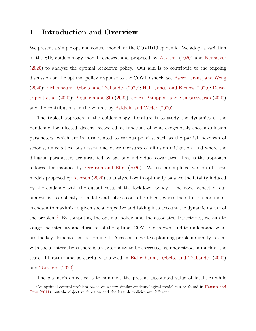### 1 Introduction and Overview

We present a simple optimal control model for the COVID19 epidemic. We adopt a variation in the SIR epidemiology model reviewed and proposed by [Atkeson](#page-29-0) [\(2020\)](#page-29-0) and [Neumeyer](#page-30-0) [\(2020\)](#page-30-0) to analyze the optimal lockdown policy. Our aim is to contribute to the ongoing discussion on the optimal policy response to the COVID shock, see [Barro, Ursua, and Weng](#page-29-1) [\(2020\)](#page-29-1); [Eichenbaum, Rebelo, and Trabandtz](#page-29-2) [\(2020\)](#page-29-2); [Hall, Jones, and Klenow](#page-29-3) [\(2020\)](#page-29-3); [Dewa](#page-29-4)[tripont et al.](#page-29-4) [\(2020\)](#page-29-4); [Piguillem and Shi](#page-30-1) [\(2020\)](#page-30-1); [Jones, Philippon, and Venkateswaran](#page-30-2) [\(2020\)](#page-30-2) and the contributions in the volume by [Baldwin and Weder](#page-29-5) [\(2020\)](#page-29-5).

The typical approach in the epidemiology literature is to study the dynamics of the pandemic, for infected, deaths, recovered, as functions of some exogenously chosen diffusion parameters, which are in turn related to various policies, such as the partial lockdown of schools, universities, businesses, and other measures of diffusion mitigation, and where the diffusion parameters are stratified by age and individual covariates. This is the approach followed for instance by [Ferguson and Et.al](#page-29-6) [\(2020\)](#page-29-6). We use a simplified version of these models proposed by [Atkeson](#page-29-0) [\(2020\)](#page-29-0) to analyze how to optimally balance the fatality induced by the epidemic with the output costs of the lockdown policy. The novel aspect of our analysis is to explicitly formulate and solve a control problem, where the diffusion parameter is chosen to maximize a given social objective and taking into account the dynamic nature of the problem.<sup>[1](#page-2-0)</sup> By computing the optimal policy, and the associated trajectories, we aim to gauge the intensity and duration of the optimal COVID lockdown, and to understand what are the key elements that determine it. A reason to write a planning problem directly is that with social interactions there is an externality to be corrected, as understood in much of the search literature and as carefully analyzed in [Eichenbaum, Rebelo, and Trabandtz](#page-29-2) [\(2020\)](#page-29-2) and [Toxvaerd](#page-30-3) [\(2020\)](#page-30-3).

<span id="page-2-0"></span>The planner's objective is to minimize the present discounted value of fatalities while

<sup>&</sup>lt;sup>1</sup>An optimal control problem based on a very similar epidemiological model can be found in [Hansen and](#page-29-7) [Troy](#page-29-7) [\(2011\)](#page-29-7), but the objective function and the feasible policies are different.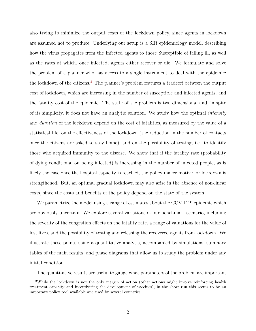also trying to minimize the output costs of the lockdown policy, since agents in lockdown are assumed not to produce. Underlying our setup is a SIR epidemiology model, describing how the virus propagates from the Infected agents to those Susceptible of falling ill, as well as the rates at which, once infected, agents either recover or die. We formulate and solve the problem of a planner who has access to a single instrument to deal with the epidemic: the lockdown of the citizens.<sup>[2](#page-3-0)</sup> The planner's problem features a tradeoff between the output cost of lockdown, which are increasing in the number of susceptible and infected agents, and the fatality cost of the epidemic. The state of the problem is two dimensional and, in spite of its simplicity, it does not have an analytic solution. We study how the optimal intensity and duration of the lockdown depend on the cost of fatalities, as measured by the value of a statistical life, on the effectiveness of the lockdown (the reduction in the number of contacts once the citizens are asked to stay home), and on the possibility of testing, i.e. to identify those who acquired immunity to the disease. We show that if the fatality rate (probability of dying conditional on being infected) is increasing in the number of infected people, as is likely the case once the hospital capacity is reached, the policy maker motive for lockdown is strengthened. But, an optimal gradual lockdown may also arise in the absence of non-linear costs, since the costs and benefits of the policy depend on the state of the system.

We parametrize the model using a range of estimates about the COVID19 epidemic which are obviously uncertain. We explore several variations of our benchmark scenario, including the severity of the congestion effects on the fatality rate, a range of valuations for the value of lost lives, and the possibility of testing and releasing the recovered agents from lockdown. We illustrate these points using a quantitative analysis, accompanied by simulations, summary tables of the main results, and phase diagrams that allow us to study the problem under any initial condition.

<span id="page-3-0"></span>The quantitative results are useful to gauge what parameters of the problem are important

<sup>&</sup>lt;sup>2</sup>While the lockdown is not the only margin of action (other actions might involve reinforcing health treatment capacity and incentivizing the development of vaccines), in the short run this seems to be an important policy tool available and used by several countries.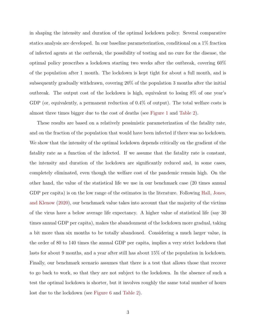in shaping the intensity and duration of the optimal lockdown policy. Several comparative statics analysis are developed. In our baseline parameterization, conditional on a 1% fraction of infected agents at the outbreak, the possibility of testing and no cure for the disease, the optimal policy prescribes a lockdown starting two weeks after the outbreak, covering 60% of the population after 1 month. The lockdown is kept tight for about a full month, and is subsequently gradually withdrawn, covering 20% of the population 3 months after the initial outbreak. The output cost of the lockdown is high, equivalent to losing 8% of one year's GDP (or, equivalently, a permanent reduction of 0.4% of output). The total welfare costs is almost three times bigger due to the cost of deaths (see [Figure 1](#page-18-0) and [Table 2\)](#page-23-0).

These results are based on a relatively pessimistic parameterization of the fatality rate, and on the fraction of the population that would have been infected if there was no lockdown. We show that the intensity of the optimal lockdown depends critically on the gradient of the fatality rate as a function of the infected. If we assume that the fatality rate is constant, the intensity and duration of the lockdown are significantly reduced and, in some cases, completely eliminated, even though the welfare cost of the pandemic remain high. On the other hand, the value of the statistical life we use in our benchmark case (20 times annual GDP per capita) is on the low range of the estimates in the literature. Following [Hall, Jones,](#page-29-3) [and Klenow](#page-29-3) [\(2020\)](#page-29-3), our benchmark value takes into account that the majority of the victims of the virus have a below average life expectancy. A higher value of statistical life (say 30 times annual GDP per capita), makes the abandonment of the lockdown more gradual, taking a bit more than six months to be totally abandoned. Considering a much larger value, in the order of 80 to 140 times the annual GDP per capita, implies a very strict lockdown that lasts for about 9 months, and a year after still has about 15% of the population in lockdown. Finally, our benchmark scenario assumes that there is a test that allows those that recover to go back to work, so that they are not subject to the lockdown. In the absence of such a test the optimal lockdown is shorter, but it involves roughly the same total number of hours lost due to the lockdown (see [Figure 6](#page-27-0) and [Table 2\)](#page-23-0).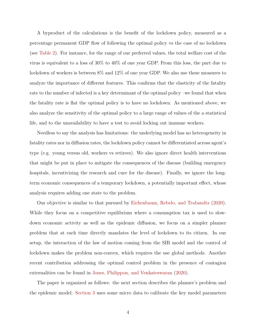A byproduct of the calculations is the benefit of the lockdown policy, measured as a percentage permanent GDP flow of following the optimal policy vs the case of no lockdown (see [Table 2\)](#page-23-0). For instance, for the range of our preferred values, the total welfare cost of the virus is equivalent to a loss of 30% to 40% of one year GDP. From this loss, the part due to lockdown of workers is between 8% and 12% of one year GDP. We also use these measures to analyze the importance of different features. This confirms that the elasticity of the fatality rate to the number of infected is a key determinant of the optimal policy –we found that when the fatality rate is flat the optimal policy is to have no lockdown. As mentioned above, we also analyze the sensitivity of the optimal policy to a large range of values of the a statistical life, and to the unavailability to have a test to avoid locking out immune workers.

Needless to say the analysis has limitations: the underlying model has no heterogeneity in fatality rates nor in diffusion rates, the lockdown policy cannot be differentiated across agent's type (e.g. young versus old, workers vs retirees). We also ignore direct health interventions that might be put in place to mitigate the consequences of the disease (building emergency hospitals, incentivizing the research and cure for the disease). Finally, we ignore the longterm economic consequences of a temporary lockdown, a potentially important effect, whose analysis requires adding one state to the problem.

Our objective is similar to that pursued by [Eichenbaum, Rebelo, and Trabandtz](#page-29-2) [\(2020\)](#page-29-2). While they focus on a competitive equilibrium where a consumption tax is used to slowdown economic activity as well as the epidemic diffusion, we focus on a simpler planner problem that at each time directly mandates the level of lockdown to its citizen. In our setup, the interaction of the law of motion coming from the SIR model and the control of lockdown makes the problem non-convex, which requires the use global methods. Another recent contribution addressing the optimal control problem in the presence of contagion externalities can be found in [Jones, Philippon, and Venkateswaran](#page-30-2) [\(2020\)](#page-30-2).

The paper is organized as follows: the next section describes the planner's problem and the epidemic model. [Section 3](#page-12-0) uses some micro data to calibrate the key model parameters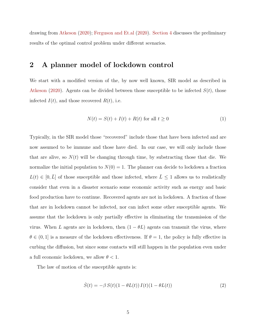drawing from [Atkeson](#page-29-0) [\(2020\)](#page-29-0); [Ferguson and Et.al](#page-29-6) [\(2020\)](#page-29-6). [Section 4](#page-15-0) discusses the preliminary results of the optimal control problem under different scenarios.

## <span id="page-6-1"></span>2 A planner model of lockdown control

We start with a modified version of the, by now well known, SIR model as described in [Atkeson](#page-29-0) [\(2020\)](#page-29-0). Agents can be divided between those susceptible to be infected  $S(t)$ , those infected  $I(t)$ , and those recovered  $R(t)$ , i.e.

$$
N(t) = S(t) + I(t) + R(t) \text{ for all } t \ge 0
$$
\n<sup>(1)</sup>

Typically, in the SIR model those "recovered" include those that have been infected and are now assumed to be immune and those have died. In our case, we will only include those that are alive, so  $N(t)$  will be changing through time, by substracting those that die. We normalize the initial population to  $N(0) = 1$ . The planner can decide to lockdown a fraction  $L(t) \in [0, \bar{L}]$  of those susceptible and those infected, where  $\bar{L} \leq 1$  allows us to realistically consider that even in a disaster scenario some economic activity such as energy and basic food production have to continue. Recovered agents are not in lockdown. A fraction of those that are in lockdown cannot be infected, nor can infect some other susceptible agents. We assume that the lockdown is only partially effective in eliminating the transmission of the virus. When L agents are in lockdown, then  $(1 - \theta L)$  agents can transmit the virus, where  $\theta \in (0, 1]$  is a measure of the lockdown effectiveness. If  $\theta = 1$ , the policy is fully effective in curbing the diffusion, but since some contacts will still happen in the population even under a full economic lockdown, we allow  $\theta < 1$ .

The law of motion of the susceptible agents is:

<span id="page-6-0"></span>
$$
\dot{S}(t) = -\beta S(t)(1 - \theta L(t)) I(t)(1 - \theta L(t))
$$
\n(2)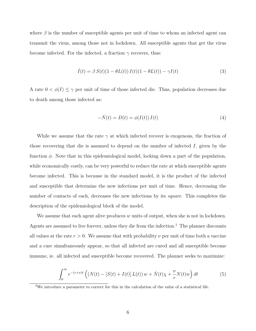where  $\beta$  is the number of susceptible agents per unit of time to whom an infected agent can transmit the virus, among those not in lockdown. All susceptible agents that get the virus become infected. For the infected, a fraction  $\gamma$  recovers, thus:

$$
\dot{I}(t) = \beta S(t)(1 - \theta L(t)) I(t)(1 - \theta L(t)) - \gamma I(t)
$$
\n(3)

A rate  $0 < \phi(I) \leq \gamma$  per unit of time of those infected die. Thus, population decreases due to death among those infected as:

<span id="page-7-2"></span><span id="page-7-1"></span>
$$
-\dot{N}(t) = D(t) = \phi(I(t)) I(t)
$$
\n<sup>(4)</sup>

While we assume that the rate  $\gamma$  at which infected recover is exogenous, the fraction of those recovering that die is assumed to depend on the number of infected  $I$ , given by the function  $\phi$ . Note that in this epidemiological model, locking down a part of the population, while economically costly, can be very powerful to reduce the rate at which susceptible agents become infected. This is because in the standard model, it is the product of the infected and susceptible that determine the new infections per unit of time. Hence, decreasing the number of contacts of each, decreases the new infections by its *square*. This completes the description of the epidemiological block of the model.

We assume that each agent alive produces  $w$  units of output, when she is not in lockdown. Agents are assumed to live forever, unless they die from the infection.<sup>[3](#page-7-0)</sup> The planner discounts all values at the rate  $r > 0$ . We assume that with probability  $\nu$  per unit of time both a vaccine and a cure simultaneously appear, so that all infected are cured and all susceptible become immune, ie. all infected and susceptible become recovered. The planner seeks to maximize:

<span id="page-7-3"></span>
$$
\int_0^\infty e^{-(r+\nu)t} \left( \left( N(t) - \left[ S(t) + I(t) \right] L(t) \right) w + \dot{N}(t) \chi + \frac{\nu}{r} N(t) w \right) dt \tag{5}
$$

<span id="page-7-0"></span><sup>&</sup>lt;sup>3</sup>We introduce a parameter to correct for this in the calculation of the value of a statistical life.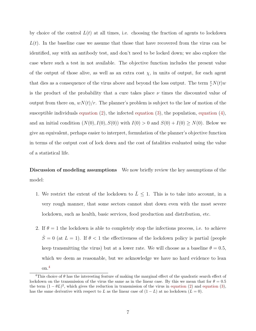by choice of the control  $L(t)$  at all times, i.e. choosing the fraction of agents to lockdown  $L(t)$ . In the baseline case we assume that those that have recovered from the virus can be identified, say with an antibody test, and don't need to be locked down; we also explore the case where such a test in not available. The objective function includes the present value of the output of those alive, as well as an extra cost  $\chi$ , in units of output, for each agent that dies as a consequence of the virus above and beyond the loss output. The term  $\frac{\nu}{r}N(t)w$ is the product of the probability that a cure takes place  $\nu$  times the discounted value of output from there on,  $wN(t)/r$ . The planner's problem is subject to the law of motion of the susceptible individuals [equation](#page-7-2)  $(2)$ , the infected equation  $(3)$ , the population, equation  $(4)$ , and an initial condition  $(N(0), I(0), S(0))$  with  $I(0) > 0$  and  $S(0) + I(0) \geq N(0)$ . Below we give an equivalent, perhaps easier to interpret, formulation of the planner's objective function in terms of the output cost of lock down and the cost of fatalities evaluated using the value of a statistical life.

Discussion of modeling assumptions We now briefly review the key assumptions of the model:

- 1. We restrict the extent of the lockdown to  $\overline{L} \leq 1$ . This is to take into account, in a very rough manner, that some sectors cannot shut down even with the most severe lockdown, such as health, basic services, food production and distribution, etc.
- 2. If  $\theta = 1$  the lockdown is able to completely stop the infections process, i.e. to achieve  $\dot{S} = 0$  (at  $L = 1$ ). If  $\theta < 1$  the effectiveness of the lockdown policy is partial (people keep transmitting the virus) but at a lower rate. We will choose as a baseline  $\theta = 0.5$ , which we deem as reasonable, but we acknowledge we have no hard evidence to lean on.[4](#page-8-0)

<span id="page-8-0"></span><sup>&</sup>lt;sup>4</sup>This choice of  $\theta$  has the interesting feature of making the marginal effect of the quadratic search effect of lockdown on the transmission of the virus the same as in the linear case. By this we mean that for  $\theta = 0.5$ the term  $(1 - \theta L)^2$ , which gives the reduction in transmission of the virus in [equation](#page-7-1) [\(2\)](#page-6-0) and equation [\(3\)](#page-7-1), has the same derivative with respect to L as the linear case of  $(1 - L)$  at no lockdown  $(L = 0)$ .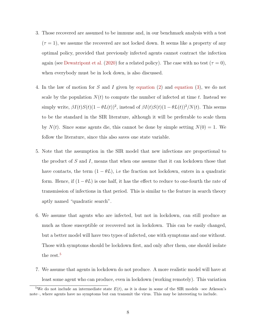- 3. Those recovered are assumed to be immune and, in our benchmark analysis with a test  $(\tau = 1)$ , we assume the recovered are not locked down. It seems like a property of any optimal policy, provided that previously infected agents cannot contract the infection again (see [Dewatripont et al.](#page-29-4) [\(2020\)](#page-29-4) for a related policy). The case with no test ( $\tau = 0$ ), when everybody must be in lock down, is also discussed.
- 4. In the law of motion for S and I given by [equation](#page-6-0) [\(2\)](#page-6-0) and [equation](#page-7-1) [\(3\)](#page-7-1), we do not scale by the population  $N(t)$  to compute the number of infected at time t. Instead we simply write,  $\beta I(t)S(t)(1-\theta L(t))^2$ , instead of  $\beta I(t)S(t)(1-\theta L(t))^2/N(t)$ . This seems to be the standard in the SIR literature, although it will be preferable to scale them by  $N(t)$ . Since some agents die, this cannot be done by simple setting  $N(0) = 1$ . We follow the literature, since this also saves one state variable.
- 5. Note that the assumption in the SIR model that new infections are proportional to the product of  $S$  and  $I$ , means that when one assume that it can lockdown those that have contacts, the term  $(1 - \theta L)$ , i.e the fraction not lockdown, enters in a quadratic form. Hence, if  $(1 - \theta L)$  is one half, it has the effect to reduce to one-fourth the rate of transmission of infections in that period. This is similar to the feature in search theory aptly named "quadratic search".
- 6. We assume that agents who are infected, but not in lockdown, can still produce as much as those susceptible or recovered not in lockdown. This can be easily changed, but a better model will have two types of infected, one with symptoms and one without. Those with symptoms should be lockdown first, and only after them, one should isolate the rest.<sup>[5](#page-9-0)</sup>
- 7. We assume that agents in lockdown do not produce. A more realistic model will have at least some agent who can produce, even in lockdown (working remotely). This variation

<span id="page-9-0"></span><sup>&</sup>lt;sup>5</sup>We do not include an intermediate state  $E(t)$ , as it is done in some of the SIR models –see Atkeson's note–, where agents have no symptoms but can transmit the virus. This may be interesting to include.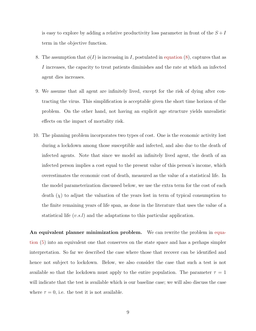is easy to explore by adding a relative productivity loss parameter in front of the  $S + I$ term in the objective function.

- 8. The assumption that  $\phi(I)$  is increasing in I, postulated in [equation](#page-11-0) [\(8\)](#page-11-0), captures that as I increases, the capacity to treat patients diminishes and the rate at which an infected agent dies increases.
- 9. We assume that all agent are infinitely lived, except for the risk of dying after contracting the virus. This simplification is acceptable given the short time horizon of the problem. On the other hand, not having an explicit age structure yields unrealistic effects on the impact of mortality risk.
- 10. The planning problem incorporates two types of cost. One is the economic activity lost during a lockdown among those susceptible and infected, and also due to the death of infected agents. Note that since we model an infinitely lived agent, the death of an infected person implies a cost equal to the present value of this person's income, which overestimates the economic cost of death, measured as the value of a statistical life. In the model parameterization discussed below, we use the extra term for the cost of each death  $(\chi)$  to adjust the valuation of the years lost in term of typical consumption to the finite remaining years of life span, as done in the literature that uses the value of a statistical life  $(v.s.l)$  and the adaptations to this particular application.

An equivalent planner minimization problem. We can rewrite the problem in [equa](#page-7-3)[tion](#page-7-3) [\(5\)](#page-7-3) into an equivalent one that conserves on the state space and has a perhaps simpler interpretation. So far we described the case where those that recover can be identified and hence not subject to lockdown. Below, we also consider the case that such a test is not available so that the lockdown must apply to the entire population. The parameter  $\tau = 1$ will indicate that the test is available which is our baseline case; we will also discuss the case where  $\tau = 0$ , i.e. the test it is not available.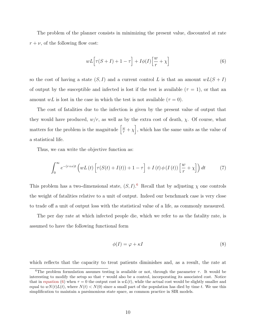The problem of the planner consists in minimizing the present value, discounted at rate  $r + \nu$ , of the following flow cost:

<span id="page-11-2"></span>
$$
wL\Big[\tau(S+I) + 1 - \tau\Big] + I\phi(I)\Big[\frac{w}{r} + \chi\Big]
$$
\n<sup>(6)</sup>

so the cost of having a state  $(S, I)$  and a current control L is that an amount  $wL(S + I)$ of output by the susceptible and infected is lost if the test is available  $(\tau = 1)$ , or that an amount wL is lost in the case in which the test is not available  $(\tau = 0)$ .

The cost of fatalities due to the infection is given by the present value of output that they would have produced,  $w/r$ , as well as by the extra cost of death,  $\chi$ . Of course, what matters for the problem is the magnitude  $\left[\frac{w}{r} + \chi\right]$ , which has the same units as the value of a statistical life.

Thus, we can write the objective function as:

$$
\int_0^\infty e^{-(r+\nu)t} \left( wL\left(t\right) \left[ \tau(S(t)+I(t)) + 1 - \tau \right] + I\left(t\right) \phi\left(I\left(t\right)\right) \left[ \frac{w}{r} + \chi \right] \right) dt \tag{7}
$$

This problem has a two-dimensional state,  $(S, I)$ .<sup>[6](#page-11-1)</sup> Recall that by adjusting  $\chi$  one controls the weight of fatalities relative to a unit of output. Indeed our benchmark case is very close to trade off a unit of output loss with the statistical value of a life, as commonly measured.

The per day rate at which infected people die, which we refer to as the fatality rate, is assumed to have the following functional form

<span id="page-11-0"></span>
$$
\phi(I) = \varphi + \kappa I \tag{8}
$$

which reflects that the capacity to treat patients diminishes and, as a result, the rate at

<span id="page-11-1"></span><sup>&</sup>lt;sup>6</sup>The problem formulation assumes testing is available or not, through the parameter  $\tau$ . It would be interesting to modify the setup so that  $\tau$  would also be a control, incorporating its associated cost. Notice that in [equation](#page-11-2) [\(6\)](#page-11-2) when  $\tau = 0$  the output cost is  $wL(t)$ , while the actual cost would be slightly smaller and equal to  $wN(t)L(t)$ , where  $N(t) < N(0)$  since a small part of the population has died by time t. We use this simplification to maintain a parsimonious state space, as common practice in SIR models.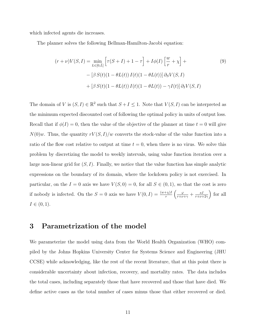which infected agents die increases.

The planner solves the following Bellman-Hamilton-Jacobi equation:

$$
(r+\nu)V(S,I) = \min_{L\in[0,\bar{L}]} \left[\tau(S+I) + 1 - \tau\right] + I\phi(I) \left[\frac{w}{r} + \chi\right] +
$$
  

$$
- \left[\beta S(t)(1 - \theta L(t)) I(t)(1 - \theta L(t))\right] \partial_S V(S,I)
$$
  

$$
+ \left[\beta S(t)(1 - \theta L(t)) I(t)(1 - \theta L(t)) - \gamma I(t)\right] \partial_I V(S,I)
$$
 (9)

The domain of V is  $(S, I) \in \mathbb{R}^2$  such that  $S + I \leq 1$ . Note that  $V(S, I)$  can be interpreted as the minimum expected discounted cost of following the optimal policy in units of output loss. Recall that if  $\phi(I) = 0$ , then the value of the objective of the planner at time  $t = 0$  will give  $N(0)w$ . Thus, the quantity  $rV(S, I)/w$  converts the stock-value of the value function into a ratio of the flow cost relative to output at time  $t = 0$ , when there is no virus. We solve this problem by discretizing the model to weekly intervals, using value function iteration over a large non-linear grid for  $(S, I)$ . Finally, we notice that the value function has simple analytic expressions on the boundary of its domain, where the lockdown policy is not exercised. In particular, on the  $I = 0$  axis we have  $V(S, 0) = 0$ , for all  $S \in (0, 1)$ , so that the cost is zero if nobody is infected. On the  $S = 0$  axis we have  $V(0, I) = \frac{(w + \chi)I}{r} \left( \frac{\varphi}{r + \nu + \gamma} + \frac{\kappa I}{r + \nu + \gamma} \right)$  $\frac{\kappa I}{r+\nu+2\gamma}$  for all  $I \in (0, 1)$ .

### <span id="page-12-0"></span>3 Parametrization of the model

We parameterize the model using data from the World Health Organization (WHO) compiled by the Johns Hopkins University Center for Systems Science and Engineering (JHU CCSE) while acknowledging, like the rest of the recent literature, that at this point there is considerable uncertainty about infection, recovery, and mortality rates. The data includes the total cases, including separately those that have recovered and those that have died. We define active cases as the total number of cases minus those that either recovered or died.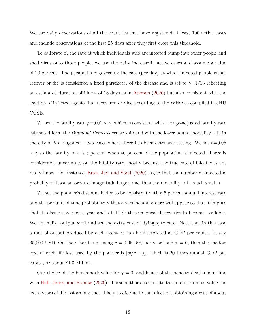We use daily observations of all the countries that have registered at least 100 active cases and include observations of the first 25 days after they first cross this threshold.

To calibrate  $\beta$ , the rate at which individuals who are infected bump into other people and shed virus onto those people, we use the daily increase in active cases and assume a value of 20 percent. The parameter  $\gamma$  governing the rate (per day) at which infected people either recover or die is considered a fixed parameter of the disease and is set to  $\gamma=1/18$  reflecting an estimated duration of illness of 18 days as in [Atkeson](#page-29-0) [\(2020\)](#page-29-0) but also consistent with the fraction of infected agents that recovered or died according to the WHO as compiled in JHU CCSE.

We set the fatality rate  $\varphi=0.01 \times \gamma$ , which is consistent with the age-adjusted fatality rate estimated form the *Diamond Princess* cruise ship and with the lower bound mortality rate in the city of Vo' Euganeo – two cases where there has been extensive testing. We set  $\kappa$ =0.05  $\times$   $\gamma$  so the fatality rate is 3 percent when 40 percent of the population is infected. There is considerable uncertainty on the fatality rate, mostly because the true rate of infected is not really know. For instance, [Eran, Jay, and Sood](#page-29-8) [\(2020\)](#page-29-8) argue that the number of infected is probably at least an order of magnitude larger, and thus the mortality rate much smaller.

We set the planner's discount factor to be consistent with a 5 percent annual interest rate and the per unit of time probability  $\nu$  that a vaccine and a cure will appear so that it implies that it takes on average a year and a half for these medical discoveries to become available. We normalize output  $w=1$  and set the extra cost of dying  $\chi$  to zero. Note that in this case a unit of output produced by each agent,  $w$  can be interpreted as GDP per capita, let say 65,000 USD. On the other hand, using  $r = 0.05$  (5% per year) and  $\chi = 0$ , then the shadow cost of each life lost used by the planner is  $[w/r + \chi]$ , which is 20 times annual GDP per capita, or about \$1.3 Million.

Our choice of the benchmark value for  $\chi = 0$ , and hence of the penalty deaths, is in line with [Hall, Jones, and Klenow](#page-29-3) [\(2020\)](#page-29-3). These authors use an utilitarian criterium to value the extra years of life lost among those likely to die due to the infection, obtaining a cost of about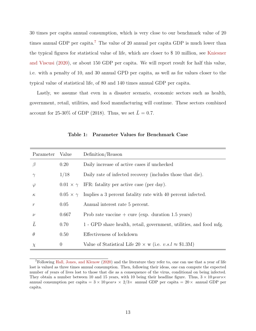30 times per capita annual consumption, which is very close to our benchmark value of 20 times annual GDP per capita.<sup>[7](#page-14-0)</sup> The value of 20 annual per capita GDP is much lower than the typical figures for statistical value of life, which are closer to \$ 10 million, see [Kniesner](#page-30-4) [and Viscusi](#page-30-4) [\(2020\)](#page-30-4), or about 150 GDP per capita. We will report result for half this value, i.e. with a penalty of 10, and 30 annual GPD per capita, as well as for values closer to the typical value of statistical life, of 80 and 140 times annual GDP per capita.

Lastly, we assume that even in a disaster scenario, economic sectors such as health, government, retail, utilities, and food manufacturing will continue. These sectors combined account for 25-30% of GDP (2018). Thus, we set  $\bar{L} = 0.7$ .

| Parameter     | Value                | Definition/Reason                                                     |
|---------------|----------------------|-----------------------------------------------------------------------|
| $\beta$       | 0.20                 | Daily increase of active cases if unchecked                           |
| $\gamma$      | 1/18                 | Daily rate of infected recovery (includes those that die).            |
| $\varphi$     |                      | $0.01 \times \gamma$ IFR: fatality per active case (per day).         |
| $\kappa$      | $0.05 \times \gamma$ | Implies a 3 percent fatality rate with 40 percent infected.           |
| $\mathcal{r}$ | 0.05                 | Annual interest rate 5 percent.                                       |
| $\nu$         | 0.667                | Prob rate vaccine $+$ cure (exp. duration 1.5 years)                  |
| Ī             | 0.70                 | 1 - GPD share health, retail, government, utilities, and food mfg.    |
| $\theta$      | 0.50                 | Effectiveness of lockdown                                             |
| $\chi$        | $\overline{0}$       | Value of Statistical Life 20 $\times$ w (i.e. $v.s.l \approx $1.3M$ ) |

<span id="page-14-1"></span>Table 1: Parameter Values for Benchmark Case

<span id="page-14-0"></span><sup>7</sup>Following [Hall, Jones, and Klenow](#page-29-3) [\(2020\)](#page-29-3) and the literature they refer to, one can use that a year of life lost is valued as three times annual consumption. Then, following their ideas, one can compute the expected number of years of lives lost to those that die as a consequence of the virus, conditional on being infected. They obtain a number between 10 and 15 years, with 10 being their headline figure. Thus,  $3 \times 10 \, years \times$ annual consumption per capita =  $3 \times 10 \text{ years} \times 2/3 \times$  annual GDP per capita =  $20 \times$  annual GDP per capita.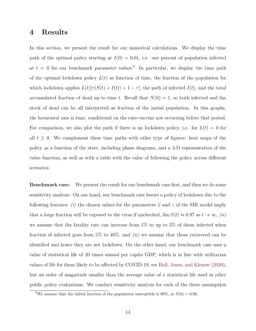#### <span id="page-15-0"></span>4 Results

In this section, we present the result for our numerical calculations. We display the time path of the optimal policy starting at  $I(0) = 0.01$ , i.e. one percent of population infected at  $t = 0$  for our benchmark parameter values.<sup>[8](#page-15-1)</sup> In particular, we display the time path of the optimal lockdown policy  $L(t)$  as function of time, the fraction of the population for which lockdown applies  $L(t)[\tau(S(t) + I(t)) + 1 - \tau]$ , the path of infected  $I(t)$ , and the total accumulated fraction of dead up to time t. Recall that  $N(0) = 1$ , so both infected and the stock of dead can be all interpreted as fraction of the initial population. In this graphs, the horizontal axis is time, conditional on the cure-vaccine not occurring before that period. For comparison, we also plot the path if there is no lockdown policy, i.e. for  $L(t) = 0$  for all  $t \geq 0$ . We complement these time paths with other type of figures: heat maps of the policy as a function of the state, including phase diagrams, and a 3-D representation of the value function, as well as with a table with the value of following the policy across different scenarios.

Benchmark case. We present the result for our benchmark case first, and then we do some sensitivity analysis. On one hand, our benchmark case favors a policy of lockdown due to the following features: (i) the chosen values for the parameters  $\beta$  and  $\gamma$  of the SIR model imply that a large fraction will be exposed to the virus if unchecked,  $\lim S(t) \approx 0.97$  as  $t \to \infty$ , (ii) we assume that the fatality rate can increase from 1% to up to 3% of those infected when fraction of infected goes from  $5\%$  to  $40\%$ , and *(ii)* we assume that those recovered can be identified and hence they are not lockdown. On the other hand, our benchmark case uses a value of statistical life of 20 times annual per capita GDP, which is in line with utilitarian values of life for those likely to be affected by COVID-19, see [Hall, Jones, and Klenow](#page-29-3) [\(2020\)](#page-29-3), but an order of magnitude smaller than the average value of a statistical life used in other public policy evaluations. We conduct sensitivity analysis for each of the these assumption

<span id="page-15-1"></span><sup>&</sup>lt;sup>8</sup>We assume that the initial fraction of the population susceptible is 98%, or  $S(0) = 0.98$ .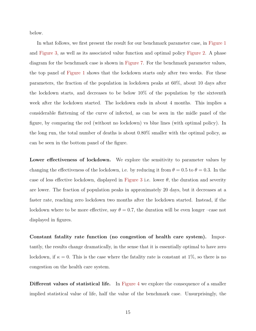below.

In what follows, we first present the result for our benchmark parameter case, in [Figure 1](#page-18-0) and [Figure 3,](#page-24-0) as well as its associated value function and optimal policy [Figure 2.](#page-19-0) A phase diagram for the benchmark case is shown in [Figure 7.](#page-28-0) For the benchmark parameter values, the top panel of [Figure 1](#page-18-0) shows that the lockdown starts only after two weeks. For these parameters, the fraction of the population in lockdown peaks at 60%, about 10 days after the lockdown starts, and decreases to be below 10% of the population by the sixteenth week after the lockdown started. The lockdown ends in about 4 months. This implies a considerable flattening of the curve of infected, as can be seen in the midle panel of the figure, by comparing the red (without no lockdown) vs blue lines (with optimal policy). In the long run, the total number of deaths is about 0.80% smaller with the optimal policy, as can be seen in the bottom panel of the figure.

Lower effectiveness of lockdown. We explore the sensitivity to parameter values by changing the effectiveness of the lockdown, i.e. by reducing it from  $\theta = 0.5$  to  $\theta = 0.3$ . In the case of less effective lockdown, displayed in [Figure 3](#page-24-0) i.e. lower  $\theta$ , the duration and severity are lower. The fraction of population peaks in approximately 20 days, but it decreases at a faster rate, reaching zero lockdown two months after the lockdown started. Instead, if the lockdown where to be more effective, say  $\theta = 0.7$ , the duration will be even longer –case not displayed in figures.

Constant fatality rate function (no congestion of health care system). Importantly, the results change dramatically, in the sense that it is essentially optimal to have zero lockdown, if  $\kappa = 0$ . This is the case where the fatality rate is constant at 1\%, so there is no congestion on the health care system.

Different values of statistical life. In [Figure 4](#page-25-0) we explore the consequence of a smaller implied statistical value of life, half the value of the benchmark case. Unsurprisingly, the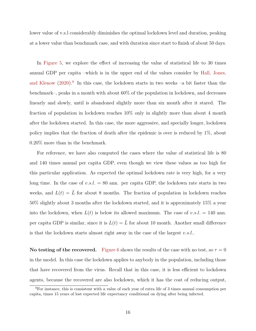lower value of v.s.l considerably diminishes the optimal lockdown level and duration, peaking at a lower value than benchmark case, and with duration since start to finish of about 50 days.

In [Figure 5,](#page-26-0) we explore the effect of increasing the value of statistical life to 30 times annual GDP per capita –which is in the upper end of the values consider by [Hall, Jones,](#page-29-3) [and Klenow](#page-29-3)  $(2020)$ .<sup>[9](#page-17-0)</sup> In this case, the lockdown starts in two weeks  $-a$  bit faster than the benchmark–, peaks in a month with about 60% of the population in lockdown, and decreases linearly and slowly, until is abandoned slightly more than six month after it stared. The fraction of population in lockdown reaches 10% only in slightly more than about 4 month after the lockdown started. In this case, the more aggressive, and specially longer, lockdown policy implies that the fraction of death after the epidemic is over is reduced by 1%, about 0.20% more than in the benchmark.

For reference, we have also computed the cases where the value of statistical life is 80 and 140 times annual per capita GDP, even though we view these values as too high for this particular application. As expected the optimal lockdown rate is very high, for a very long time. In the case of  $v.s.l. = 80$  ann. per capita GDP, the lockdown rate starts in two weeks, and  $L(t) = \overline{L}$  for about 8 months. The fraction of population in lockdown reaches 50% slightly about 3 months after the lockdown started, and it is approximately 15% a year into the lockdown, when  $L(t)$  is below its allowed maximum. The case of  $v.s.l. = 140$  ann. per capita GDP is similar, since it is  $L(t) = \overline{L}$  for about 10 month. Another small difference is that the lockdown starts almost right away in the case of the largest  $v.s.l..$ 

No testing of the recovered. [Figure 6](#page-27-0) shows the results of the case with no test, so  $\tau = 0$ in the model. In this case the lockdown applies to anybody in the population, including those that have recovered from the virus. Recall that in this case, it is less efficient to lockdown agents, because the recovered are also lockdown, which it has the cost of reducing output,

<span id="page-17-0"></span><sup>&</sup>lt;sup>9</sup>For instance, this is consistent with a value of each year of extra life of 3 times annual consumption per capita, times 15 years of lost expected life expectancy conditional on dying after being infected.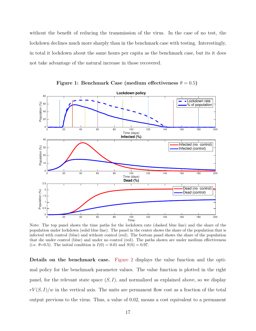<span id="page-18-0"></span>without the benefit of reducing the transmission of the virus. In the case of no test, the lockdown declines much more sharply than in the benchmark case with testing. Interestingly, in total it lockdown about the same hours per capita as the benchmark case, but its it does not take advantage of the natural increase in those recovered.



Figure 1: Benchmark Case (medium effectiveness  $\theta = 0.5$ )

Note: The top panel shows the time paths for the lockdown rate (dashed blue line) and the share of the population under lockdown (solid blue line). The panel in the center shows the share of the population that is infected with control (blue) and without control (red). The bottom panel shows the share of the population that die under control (blue) and under no control (red). The paths shown are under medium effectiveness (i.e.  $\theta = 0.5$ ). The initial condition is  $I(0) = 0.01$  and  $S(0) = 0.97$ .

Details on the benchmark case. [Figure 2](#page-19-0) displays the value function and the optimal policy for the benchmark parameter values. The value function is plotted in the right panel, for the relevant state space  $(S, I)$ , and normalized as explained above, so we display  $rV(S, I)/w$  in the vertical axis. The units are permanent flow cost as a fraction of the total output previous to the virus. Thus, a value of 0.02, means a cost equivalent to a permanent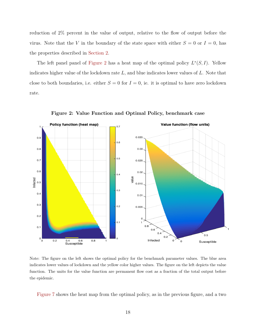reduction of 2% percent in the value of output, relative to the flow of output before the virus. Note that the V in the boundary of the state space with either  $S = 0$  or  $I = 0$ , has the properties described in [Section 2.](#page-6-1)

The left panel panel of [Figure 2](#page-19-0) has a heat map of the optimal policy  $L^*(S, I)$ . Yellow indicates higher value of the lockdown rate  $L$ , and blue indicates lower values of  $L$ . Note that close to both boundaries, i.e. either  $S = 0$  for  $I = 0$ , ie. it is optimal to have zero lockdown rate.



<span id="page-19-0"></span>Figure 2: Value Function and Optimal Policy, benchmark case

Note: The figure on the left shows the optimal policy for the benchmark parameter values. The blue area indicates lower values of lockdown and the yellow color higher values. The figure on the left depicts the value function. The units for the value function are permanent flow cost as a fraction of the total output before the epidemic.

[Figure 7](#page-28-0) shows the heat map from the optimal policy, as in the previous figure, and a two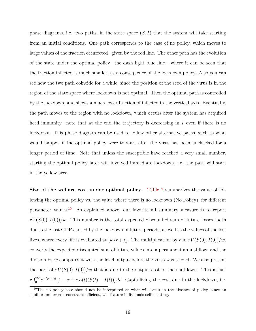phase diagrams, i.e. two paths, in the state space  $(S, I)$  that the system will take starting from an initial conditions. One path corresponds to the case of no policy, which moves to large values of the fraction of infected –given by the red line. The other path has the evolution of the state under the optimal policy –the dash light blue line–, where it can be seen that the fraction infected is much smaller, as a consequence of the lockdown policy. Also you can see how the two path coincide for a while, since the position of the seed of the virus is in the region of the state space where lockdown is not optimal. Then the optimal path is controlled by the lockdown, and shows a much lower fraction of infected in the vertical axis. Eventually, the path moves to the region with no lockdown, which occurs after the system has acquired herd immunity –note that at the end the trajectory is decreasing in  $I$  even if there is no lockdown. This phase diagram can be used to follow other alternative paths, such as what would happen if the optimal policy were to start after the virus has been unchecked for a longer period of time. Note that unless the susceptible have reached a very small number, starting the optimal policy later will involved immediate lockdown, i.e. the path will start in the yellow area.

Size of the welfare cost under optimal policy. [Table 2](#page-23-0) summarizes the value of following the optimal policy vs. the value where there is no lockdown (No Policy), for different parameter values.[10](#page-20-0) As explained above, our favorite all summary measure is to report  $rV(S(0), I(0))/w$ . This number is the total expected discounted sum of future losses, both due to the lost GDP caused by the lockdown in future periods, as well as the values of the lost lives, where every life is evaluated at  $[w/r + \chi]$ . The multiplication by r in  $rV(S(0), I(0))/w$ , converts the expected discounted sum of future values into a permanent annual flow, and the division by w compares it with the level output before the virus was seeded. We also present the part of  $rV(S(0), I(0))/w$  that is due to the output cost of the shutdown. This is just  $r \int_0^{\infty} e^{-(r+\nu)t} \left[1 - \tau + \tau L(t)(S(t) + I(t))\right] dt$ . Capitalizing the cost due to the lockdown, i.e.

<span id="page-20-0"></span><sup>&</sup>lt;sup>10</sup>The no policy case should not be interpreted as what will occur in the absence of policy, since an equilibrium, even if constraint efficient, will feature individuals self-isolating.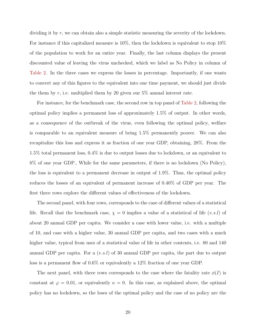dividing it by r, we can obtain also a simple statistic measuring the severity of the lockdown. For instance if this capitalized measure is  $10\%$ , then the lockdown is equivalent to stop  $10\%$ of the population to work for an entire year. Finally, the last column displays the present discounted value of leaving the virus unchecked, which we label as No Policy in column of [Table 2.](#page-23-0) In the three cases we express the losses in percentage. Importantly, if one wants to convert any of this figures to the equivalent into one time payment, we should just divide the them by r, i.e. multiplied them by 20 given our  $5\%$  annual interest rate.

For instance, for the benchmark case, the second row in top panel of [Table 2,](#page-23-0) following the optimal policy implies a permanent loss of approximately 1.5% of output. In other words, as a consequence of the outbreak of the virus, even following the optimal policy, welfare is comparable to an equivalent measure of being 1.5% permanently poorer. We can also recapitalize this loss and express it as fraction of one year GDP, obtaining, 28%. From the 1.5% total permanent loss, 0.4% is due to output losses due to lockdown, or an equivalent to 8% of one year GDP., While for the same parameters, if there is no lockdown (No Policy), the loss is equivalent to a permanent decrease in output of 1.9%. Thus, the optimal policy reduces the losses of an equivalent of permanent increase of 0.40% of GDP per year. The first three rows explore the different values of effectiveness of the lockdown.

The second panel, with four rows, corresponds to the case of different values of a statistical life. Recall that the benchmark case,  $\chi = 0$  implies a value of a statistical of life (v.s.l) of about 20 annual GDP per capita. We consider a case with lower value, i.e. with a multiple of 10, and case with a higher value, 30 annual GDP per capita, and two cases with a much higher value, typical from uses of a statistical value of life in other contents, i.e. 80 and 140 annual GDP per capita. For a  $(v.s.l)$  of 30 annual GDP per capita, the part due to output loss is a permanent flow of 0.6% or equivalently a 12% fraction of one year GDP.

The next panel, with three rows corresponds to the case where the fatality rate  $\phi(I)$  is constant at  $\varphi = 0.01$ , or equivalently  $\kappa = 0$ . In this case, as explained above, the optimal policy has no lockdown, so the loses of the optimal policy and the case of no policy are the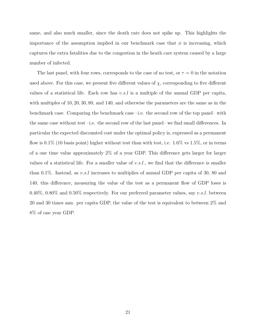same, and also much smaller, since the death rate does not spike up. This highlights the importance of the assumption implied in our benchmark case that  $\phi$  is increasing, which captures the extra fatalities due to the congestion in the heath care system caused by a large number of infected.

The last panel, with four rows, corresponds to the case of no test, or  $\tau = 0$  in the notation used above. For this case, we present five different values of  $\chi$ , corresponding to five different values of a statistical life. Each row has  $v.s.l$  is a multiple of the annual GDP per capita, with multiples of 10, 20, 30, 80, and 140, and otherwise the parameters are the same as in the benchmark case. Comparing the benchmark case –i.e. the second row of the top panel– with the same case without test –i.e. the second row of the last panel– we find small differences. In particular the expected discounted cost under the optimal policy is, expressed as a permanent flow is 0.1% (10 basis point) higher without test than with test, i.e. 1.6% vs 1.5%, or in terms of a one time value approximately 2% of a year GDP. This difference gets larger for larger values of a statistical life. For a smaller value of  $v.s.l.,$  we find that the difference is smaller than 0.1%. Instead, as v.s.l increases to multiplies of annual GDP per capita of 30, 80 and 140, this difference, measuring the value of the test as a permanent flow of GDP loses is 0.40%, 0.80% and 0.50% respectively. For our preferred parameter values, say v.s.l. between 20 and 30 times ann. per capita GDP, the value of the test is equivalent to between 2% and 8% of one year GDP.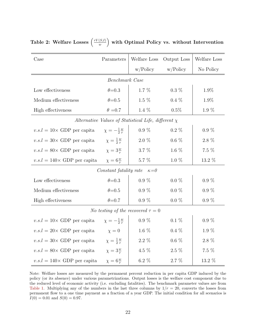<span id="page-23-0"></span>

|  |  | Table 2: Welfare Losses $\left(\frac{rV(S,I)}{w}\right)$ with Optimal Policy vs. without Intervention |
|--|--|-------------------------------------------------------------------------------------------------------|
|--|--|-------------------------------------------------------------------------------------------------------|

| Case                                                     | Parameters                            | Welfare Loss | Output Loss | Welfare Loss |  |  |  |  |  |
|----------------------------------------------------------|---------------------------------------|--------------|-------------|--------------|--|--|--|--|--|
|                                                          |                                       | w/Policy     | w/Policy    | No Policy    |  |  |  |  |  |
| Benchmark Case                                           |                                       |              |             |              |  |  |  |  |  |
| Low effectiveness                                        | $\theta = 0.3$                        | $1.7\%$      | $0.3\%$     | 1.9%         |  |  |  |  |  |
| Medium effectiveness                                     | $\theta = 0.5$                        | $1.5\%$      | $0.4\%$     | 1.9%         |  |  |  |  |  |
| High effectiveness                                       | $1.4~\%$<br>$\theta = 0.7$<br>$0.5\%$ |              |             | $1.9\%$      |  |  |  |  |  |
| Alternative Values of Statistical Life, different $\chi$ |                                       |              |             |              |  |  |  |  |  |
| $v.s.l = 10 \times GDP$ per capita                       | $\chi=-\frac{1}{2}\frac{w}{r}$        | $0.9\%$      | $0.2\%$     | $0.9\%$      |  |  |  |  |  |
| $v.s.l = 30 \times GDP$ per capita                       | $\chi = \frac{1}{2} \frac{w}{r}$      | $2.0\%$      | $0.6\%$     | 2.8 %        |  |  |  |  |  |
| $v.s.l = 80 \times GDP$ per capita                       | $\chi = 3\frac{w}{r}$                 | 3.7 %        | 1.6 $%$     | 7.5 %        |  |  |  |  |  |
| $v.s.l = 140 \times GDP$ per capita                      | $\chi = 6\frac{w}{r}$                 | 5.7 %        | $1.0\%$     | 13.2 %       |  |  |  |  |  |
| Constant fatality rate $\kappa=0$                        |                                       |              |             |              |  |  |  |  |  |
| Low effectiveness                                        | $\theta = 0.3$                        | $0.9\%$      | $0.0\%$     | $0.9\%$      |  |  |  |  |  |
| Medium effectiveness                                     | $\theta = 0.5$                        | $0.9\%$      | $0.0\%$     | $0.9\%$      |  |  |  |  |  |
| High effectiveness                                       | $\theta = 0.7$                        | $0.9\%$      | $0.0\%$     | $0.9\%$      |  |  |  |  |  |
| <i>No testing of the recovered</i> $\tau = 0$            |                                       |              |             |              |  |  |  |  |  |
| $v.s.l = 10 \times GDP$ per capita                       | $\chi=-\frac{1}{2}\frac{w}{r}$        | $0.9\%$      | $0.1\%$     | $0.9\%$      |  |  |  |  |  |
| $v.s.l = 20 \times GDP$ per capita                       | $\chi=0$                              | 1.6 $%$      | $0.4\%$     | $1.9\%$      |  |  |  |  |  |
| $v.s.l = 30 \times GDP$ per capita                       | $\chi = \frac{1}{2} \frac{w}{r}$      | $2.2\%$      | $0.6\%$     | $2.8\%$      |  |  |  |  |  |
| v.s.l = 80× GDP per capita $\chi = 3\frac{w}{r}$         |                                       | 4.5 $%$      | $2.5\%$     | 7.5 %        |  |  |  |  |  |
| $v.s.l = 140 \times GDP$ per capita                      | $\chi = 6\frac{w}{r}$                 | $6.2\%$      | $2.7\%$     | 13.2 %       |  |  |  |  |  |

Note: Welfare losses are measured by the permanent percent reduction in per capita GDP induced by the policy (or its absence) under various parametrizations. Output losses is the welfare cost component due to the reduced level of economic activity (i.e. excluding fatalities). The benchmark parameter values are from [Table 1.](#page-14-1) Multiplying any of the numbers in the last three columns by  $1/r = 20$ , converts the losses from permanent flow to a one time payment as a fraction of a year GDP. The initial condition for all scenarios is  $I(0) = 0.01$  and  $S(0) = 0.97$ .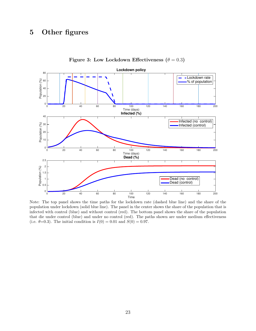# <span id="page-24-0"></span>5 Other figures



Figure 3: Low Lockdown Effectiveness ( $\theta = 0.3$ )

Note: The top panel shows the time paths for the lockdown rate (dashed blue line) and the share of the population under lockdown (solid blue line). The panel in the center shows the share of the population that is infected with control (blue) and without control (red). The bottom panel shows the share of the population that die under control (blue) and under no control (red). The paths shown are under medium effectiveness (i.e.  $\theta = 0.3$ ). The initial condition is  $I(0) = 0.01$  and  $S(0) = 0.97$ .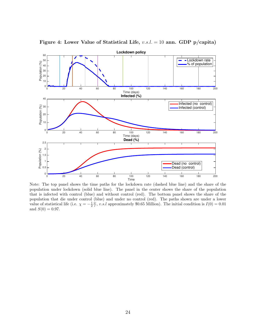

<span id="page-25-0"></span>Figure 4: Lower Value of Statistical Life,  $v.s.l. = 10$  ann. GDP p/capita)

Note: The top panel shows the time paths for the lockdown rate (dashed blue line) and the share of the population under lockdown (solid blue line). The panel in the center shows the share of the population that is infected with control (blue) and without control (red). The bottom panel shows the share of the population that die under control (blue) and under no control (red). The paths shown are under a lower value of statistical life (i.e.  $\chi = -\frac{1}{2} \frac{w}{r}$ , v.s.l approximately \$0.65 Million). The initial condition is  $I(0) = 0.01$ and  $S(0) = 0.97$ .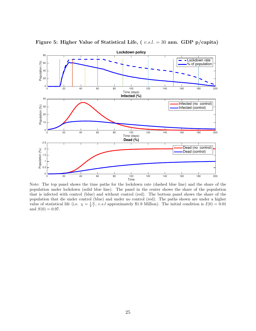

<span id="page-26-0"></span>Figure 5: Higher Value of Statistical Life, ( v.s.l. = 30 ann. GDP p/capita)

Note: The top panel shows the time paths for the lockdown rate (dashed blue line) and the share of the population under lockdown (solid blue line). The panel in the center shows the share of the population that is infected with control (blue) and without control (red). The bottom panel shows the share of the population that die under control (blue) and under no control (red). The paths shown are under a higher value of statistical life (i.e.  $\chi = \frac{1}{2} \frac{w}{r}$ , v.s.l approximately \$1.9 Million). The initial condition is  $I(0) = 0.01$ and  $S(0) = 0.97$ .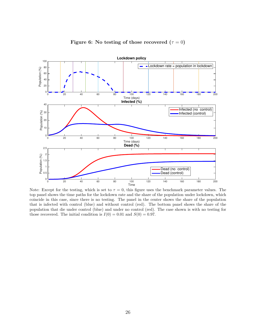<span id="page-27-0"></span>

Figure 6: No testing of those recovered  $(τ = 0)$ 

Note: Except for the testing, which is set to  $\tau = 0$ , this figure uses the benchmark parameter values. The top panel shows the time paths for the lockdown rate and the share of the population under lockdown, which coincide in this case, since there is no testing. The panel in the center shows the share of the population that is infected with control (blue) and without control (red). The bottom panel shows the share of the population that die under control (blue) and under no control (red). The case shown is with no testing for those recovered. The initial condition is  $I(0) = 0.01$  and  $S(0) = 0.97$ .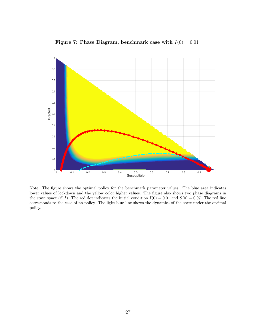

<span id="page-28-0"></span>Figure 7: Phase Diagram, benchmark case with  $I(0) = 0.01$ 

Note: The figure shows the optimal policy for the benchmark parameter values. The blue area indicates lower values of lockdown and the yellow color higher values. The figure also shows two phase diagrams in the state space  $(S, I)$ . The red dot indicates the initial condition  $I(0) = 0.01$  and  $S(0) = 0.97$ . The red line corresponds to the case of no policy. The light blue line shows the dynamics of the state under the optimal policy.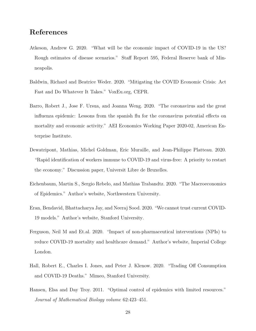## References

- <span id="page-29-0"></span>Atkeson, Andrew G. 2020. "What will be the economic impact of COVID-19 in the US? Rough estimates of disease scenarios." Staff Report 595, Federal Reserve bank of Minneapolis.
- <span id="page-29-5"></span>Baldwin, Richard and Beatrice Weder. 2020. "Mitigating the COVID Economic Crisis: Act Fast and Do Whatever It Takes." VoxEu.org, CEPR.
- <span id="page-29-1"></span>Barro, Robert J., Jose F. Ursua, and Joanna Weng. 2020. "The coronavirus and the great influenza epidemic: Lessons from the spanish flu for the coronavirus potential effects on mortality and economic activity." AEI Economics Working Paper 2020-02, American Enterprise Institute.
- <span id="page-29-4"></span>Dewatripont, Mathias, Michel Goldman, Eric Muraille, and Jean-Philippe Platteau. 2020. "Rapid identification of workers immune to COVID-19 and virus-free: A priority to restart the economy." Discussion paper, Universit Libre de Bruxelles.
- <span id="page-29-2"></span>Eichenbaum, Martin S., Sergio Rebelo, and Mathias Trabandtz. 2020. "The Macroeconomics of Epidemics." Author's website, Northwestern University.
- <span id="page-29-8"></span>Eran, Bendavid, Bhattacharya Jay, and Neeraj Sood. 2020. "We cannot trust current COVID-19 models." Author's website, Stanford University.
- <span id="page-29-6"></span>Ferguson, Neil M and Et.al. 2020. "Impact of non-pharmaceutical interventions (NPIs) to reduce COVID-19 mortality and healthcare demand." Author's website, Imperial College London.
- <span id="page-29-3"></span>Hall, Robert E., Charles I. Jones, and Peter J. Klenow. 2020. "Trading Off Consumption and COVID-19 Deaths." Mimeo, Stanford University.
- <span id="page-29-7"></span>Hansen, Elsa and Day Troy. 2011. "Optimal control of epidemics with limited resources." Journal of Mathematical Biology volume 62:423–451.